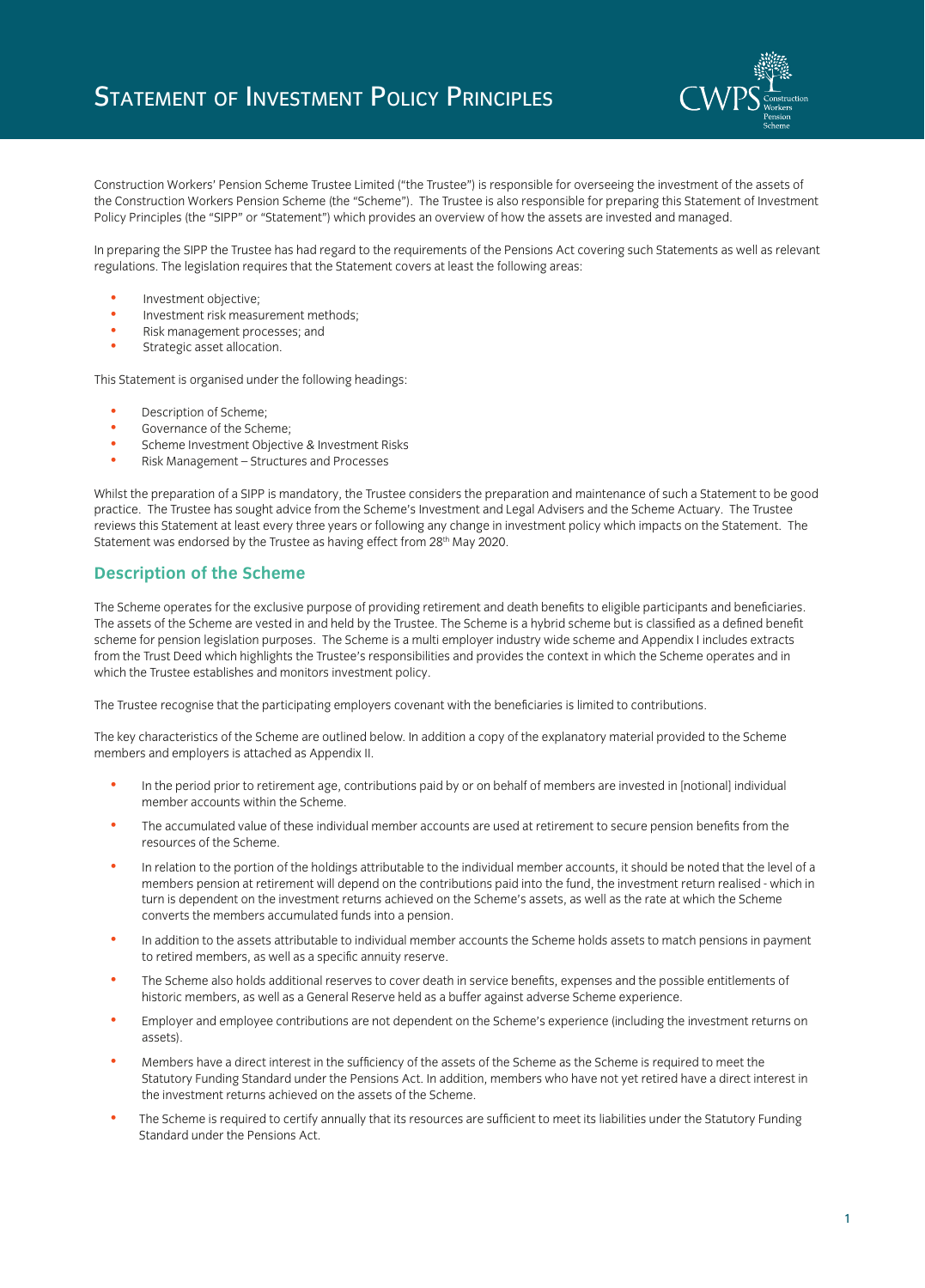

Construction Workers' Pension Scheme Trustee Limited ("the Trustee") is responsible for overseeing the investment of the assets of the Construction Workers Pension Scheme (the "Scheme"). The Trustee is also responsible for preparing this Statement of Investment Policy Principles (the "SIPP" or "Statement") which provides an overview of how the assets are invested and managed.

In preparing the SIPP the Trustee has had regard to the requirements of the Pensions Act covering such Statements as well as relevant regulations. The legislation requires that the Statement covers at least the following areas:

- Investment objective;
- Investment risk measurement methods;<br>• Risk management processes: and
- Risk management processes; and
- Strategic asset allocation.

This Statement is organised under the following headings:

- Description of Scheme;
- Governance of the Scheme;
- Scheme Investment Objective & Investment Risks
- Risk Management Structures and Processes

Whilst the preparation of a SIPP is mandatory, the Trustee considers the preparation and maintenance of such a Statement to be good practice. The Trustee has sought advice from the Scheme's Investment and Legal Advisers and the Scheme Actuary. The Trustee reviews this Statement at least every three years or following any change in investment policy which impacts on the Statement. The Statement was endorsed by the Trustee as having effect from 28<sup>th</sup> May 2020.

# **Description of the Scheme**

The Scheme operates for the exclusive purpose of providing retirement and death benefits to eligible participants and beneficiaries. The assets of the Scheme are vested in and held by the Trustee. The Scheme is a hybrid scheme but is classified as a defined benefit scheme for pension legislation purposes. The Scheme is a multi employer industry wide scheme and Appendix I includes extracts from the Trust Deed which highlights the Trustee's responsibilities and provides the context in which the Scheme operates and in which the Trustee establishes and monitors investment policy.

The Trustee recognise that the participating employers covenant with the beneficiaries is limited to contributions.

The key characteristics of the Scheme are outlined below. In addition a copy of the explanatory material provided to the Scheme members and employers is attached as Appendix II.

- In the period prior to retirement age, contributions paid by or on behalf of members are invested in [notional] individual member accounts within the Scheme.
- The accumulated value of these individual member accounts are used at retirement to secure pension benefits from the resources of the Scheme.
- In relation to the portion of the holdings attributable to the individual member accounts, it should be noted that the level of a members pension at retirement will depend on the contributions paid into the fund, the investment return realised - which in turn is dependent on the investment returns achieved on the Scheme's assets, as well as the rate at which the Scheme converts the members accumulated funds into a pension.
- In addition to the assets attributable to individual member accounts the Scheme holds assets to match pensions in payment to retired members, as well as a specific annuity reserve.
- The Scheme also holds additional reserves to cover death in service benefits, expenses and the possible entitlements of historic members, as well as a General Reserve held as a buffer against adverse Scheme experience.
- Employer and employee contributions are not dependent on the Scheme's experience (including the investment returns on assets).
- Members have a direct interest in the sufficiency of the assets of the Scheme as the Scheme is required to meet the Statutory Funding Standard under the Pensions Act. In addition, members who have not yet retired have a direct interest in the investment returns achieved on the assets of the Scheme.
- The Scheme is required to certify annually that its resources are sufficient to meet its liabilities under the Statutory Funding Standard under the Pensions Act.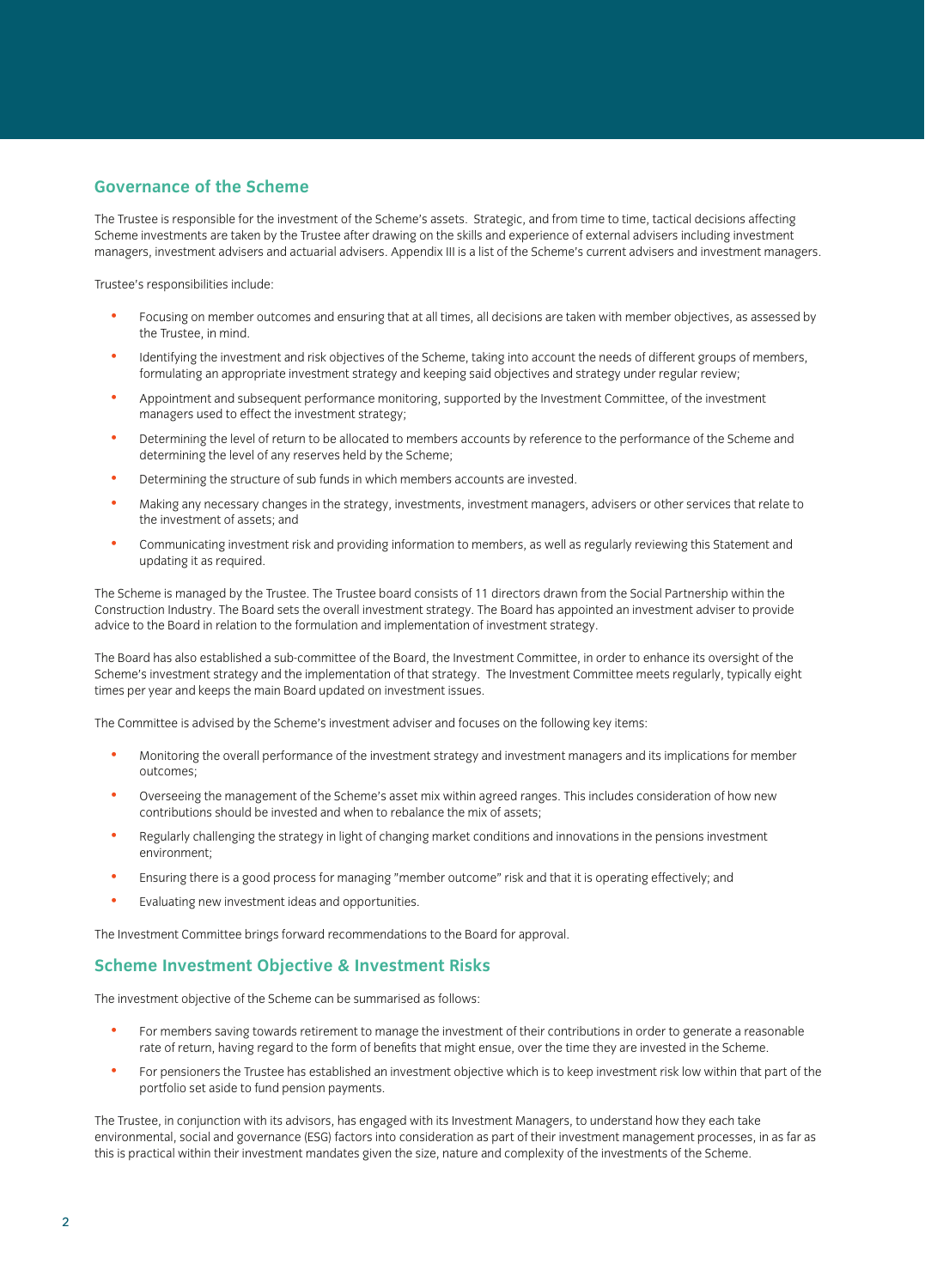## **Governance of the Scheme**

The Trustee is responsible for the investment of the Scheme's assets. Strategic, and from time to time, tactical decisions affecting Scheme investments are taken by the Trustee after drawing on the skills and experience of external advisers including investment managers, investment advisers and actuarial advisers. Appendix III is a list of the Scheme's current advisers and investment managers.

Trustee's responsibilities include:

- Focusing on member outcomes and ensuring that at all times, all decisions are taken with member objectives, as assessed by the Trustee, in mind.
- Identifying the investment and risk objectives of the Scheme, taking into account the needs of different groups of members, formulating an appropriate investment strategy and keeping said objectives and strategy under regular review;
- Appointment and subsequent performance monitoring, supported by the Investment Committee, of the investment managers used to effect the investment strategy;
- Determining the level of return to be allocated to members accounts by reference to the performance of the Scheme and determining the level of any reserves held by the Scheme;
- Determining the structure of sub funds in which members accounts are invested.
- Making any necessary changes in the strategy, investments, investment managers, advisers or other services that relate to the investment of assets; and
- Communicating investment risk and providing information to members, as well as regularly reviewing this Statement and updating it as required.

The Scheme is managed by the Trustee. The Trustee board consists of 11 directors drawn from the Social Partnership within the Construction Industry. The Board sets the overall investment strategy. The Board has appointed an investment adviser to provide advice to the Board in relation to the formulation and implementation of investment strategy.

The Board has also established a sub-committee of the Board, the Investment Committee, in order to enhance its oversight of the Scheme's investment strategy and the implementation of that strategy. The Investment Committee meets regularly, typically eight times per year and keeps the main Board updated on investment issues.

The Committee is advised by the Scheme's investment adviser and focuses on the following key items:

- Monitoring the overall performance of the investment strategy and investment managers and its implications for member outcomes;
- Overseeing the management of the Scheme's asset mix within agreed ranges. This includes consideration of how new contributions should be invested and when to rebalance the mix of assets;
- Regularly challenging the strategy in light of changing market conditions and innovations in the pensions investment environment;
- Ensuring there is a good process for managing "member outcome" risk and that it is operating effectively; and
- Evaluating new investment ideas and opportunities.

The Investment Committee brings forward recommendations to the Board for approval.

#### **Scheme Investment Objective & Investment Risks**

The investment objective of the Scheme can be summarised as follows:

- For members saving towards retirement to manage the investment of their contributions in order to generate a reasonable rate of return, having regard to the form of benefits that might ensue, over the time they are invested in the Scheme.
- For pensioners the Trustee has established an investment objective which is to keep investment risk low within that part of the portfolio set aside to fund pension payments.

The Trustee, in conjunction with its advisors, has engaged with its Investment Managers, to understand how they each take environmental, social and governance (ESG) factors into consideration as part of their investment management processes, in as far as this is practical within their investment mandates given the size, nature and complexity of the investments of the Scheme.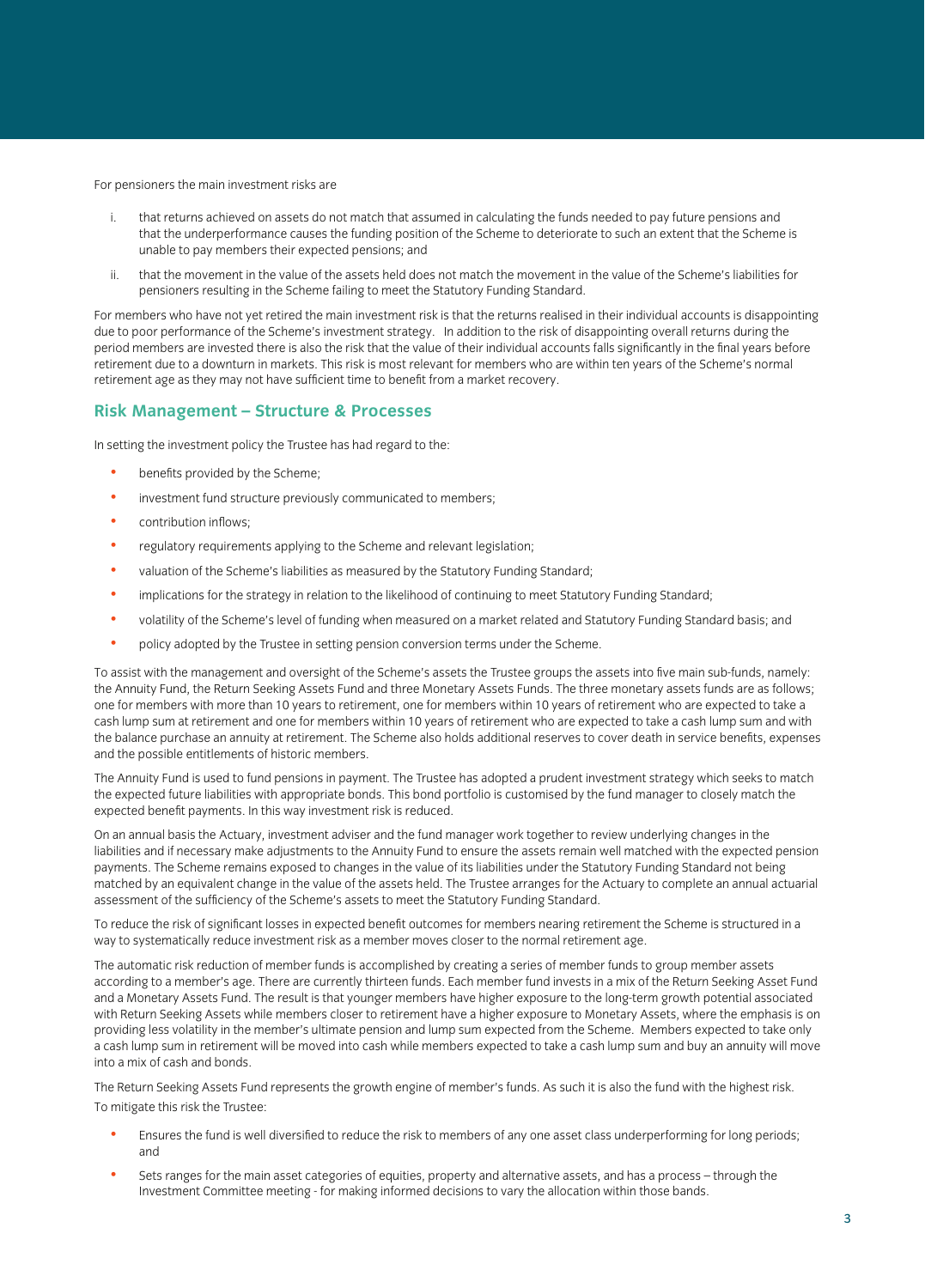For pensioners the main investment risks are

- i. that returns achieved on assets do not match that assumed in calculating the funds needed to pay future pensions and that the underperformance causes the funding position of the Scheme to deteriorate to such an extent that the Scheme is unable to pay members their expected pensions; and
- ii. that the movement in the value of the assets held does not match the movement in the value of the Scheme's liabilities for pensioners resulting in the Scheme failing to meet the Statutory Funding Standard.

For members who have not yet retired the main investment risk is that the returns realised in their individual accounts is disappointing due to poor performance of the Scheme's investment strategy. In addition to the risk of disappointing overall returns during the period members are invested there is also the risk that the value of their individual accounts falls significantly in the final years before retirement due to a downturn in markets. This risk is most relevant for members who are within ten years of the Scheme's normal retirement age as they may not have sufficient time to benefit from a market recovery.

#### **Risk Management – Structure & Processes**

In setting the investment policy the Trustee has had regard to the:

- benefits provided by the Scheme;
- investment fund structure previously communicated to members;
- contribution inflows;
- regulatory requirements applying to the Scheme and relevant legislation;
- valuation of the Scheme's liabilities as measured by the Statutory Funding Standard;
- implications for the strategy in relation to the likelihood of continuing to meet Statutory Funding Standard;
- volatility of the Scheme's level of funding when measured on a market related and Statutory Funding Standard basis; and
- policy adopted by the Trustee in setting pension conversion terms under the Scheme.

To assist with the management and oversight of the Scheme's assets the Trustee groups the assets into five main sub-funds, namely: the Annuity Fund, the Return Seeking Assets Fund and three Monetary Assets Funds. The three monetary assets funds are as follows; one for members with more than 10 years to retirement, one for members within 10 years of retirement who are expected to take a cash lump sum at retirement and one for members within 10 years of retirement who are expected to take a cash lump sum and with the balance purchase an annuity at retirement. The Scheme also holds additional reserves to cover death in service benefits, expenses and the possible entitlements of historic members.

The Annuity Fund is used to fund pensions in payment. The Trustee has adopted a prudent investment strategy which seeks to match the expected future liabilities with appropriate bonds. This bond portfolio is customised by the fund manager to closely match the expected benefit payments. In this way investment risk is reduced.

On an annual basis the Actuary, investment adviser and the fund manager work together to review underlying changes in the liabilities and if necessary make adjustments to the Annuity Fund to ensure the assets remain well matched with the expected pension payments. The Scheme remains exposed to changes in the value of its liabilities under the Statutory Funding Standard not being matched by an equivalent change in the value of the assets held. The Trustee arranges for the Actuary to complete an annual actuarial assessment of the sufficiency of the Scheme's assets to meet the Statutory Funding Standard.

To reduce the risk of significant losses in expected benefit outcomes for members nearing retirement the Scheme is structured in a way to systematically reduce investment risk as a member moves closer to the normal retirement age.

The automatic risk reduction of member funds is accomplished by creating a series of member funds to group member assets according to a member's age. There are currently thirteen funds. Each member fund invests in a mix of the Return Seeking Asset Fund and a Monetary Assets Fund. The result is that younger members have higher exposure to the long-term growth potential associated with Return Seeking Assets while members closer to retirement have a higher exposure to Monetary Assets, where the emphasis is on providing less volatility in the member's ultimate pension and lump sum expected from the Scheme. Members expected to take only a cash lump sum in retirement will be moved into cash while members expected to take a cash lump sum and buy an annuity will move into a mix of cash and bonds.

The Return Seeking Assets Fund represents the growth engine of member's funds. As such it is also the fund with the highest risk. To mitigate this risk the Trustee:

- Ensures the fund is well diversified to reduce the risk to members of any one asset class underperforming for long periods; and
- Sets ranges for the main asset categories of equities, property and alternative assets, and has a process through the Investment Committee meeting - for making informed decisions to vary the allocation within those bands.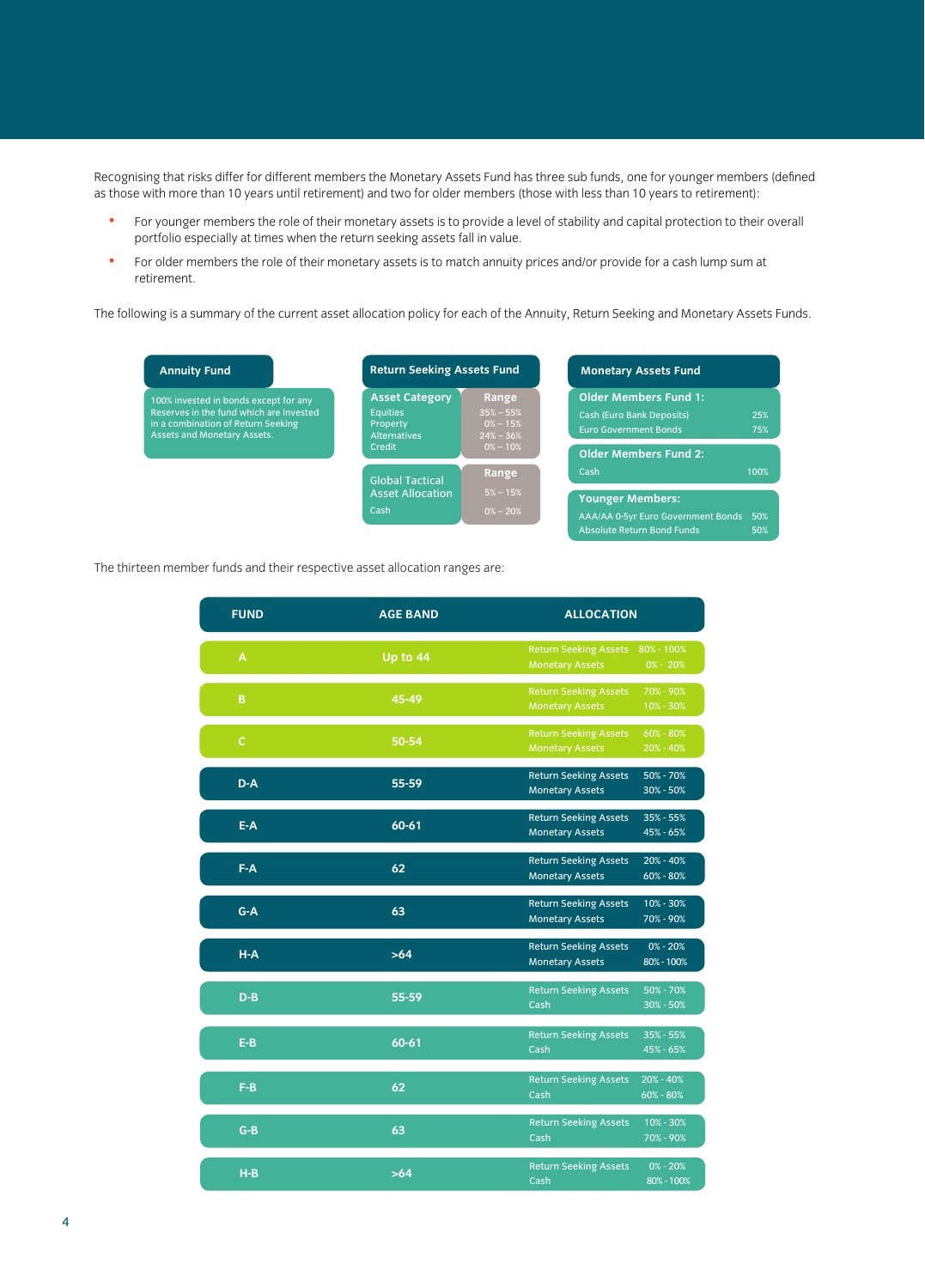Recognising that risks differ for different members the Monetary Assets Fund has three sub funds, one for younger members (defined as those with more than 10 years until retirement) and two for older members (those with less than 10 years to retirement):

- For younger members the role of their monetary assets is to provide a level of stability and capital protection to their overall portfolio especially at times when the return seeking assets fall in value.
- For older members the role of their monetary assets is to match annuity prices and/or provide for a cash lump sum at retirement.

The following is a summary of the current asset allocation policy for each of the Annuity, Return Seeking and Monetary Assets Funds.

 $\frac{1}{\sqrt{2}}$ The thirteen member funds and their respective asset allocation ranges are:

| <b>FUND</b>  | <b>AGE BAND</b> | <b>ALLOCATION</b>                                                                    |
|--------------|-----------------|--------------------------------------------------------------------------------------|
| A            | Up to 44        | <b>Return Seeking Assets</b><br>80% - 100%<br><b>Monetary Assets</b><br>$0\% - 20\%$ |
| B            | 45-49           | <b>Return Seeking Assets</b><br>70% - 90%<br><b>Monetary Assets</b><br>10% - 30%     |
| $\mathbf{C}$ | 50-54           | <b>Return Seeking Assets</b><br>60% - 80%<br><b>Monetary Assets</b><br>20% - 40%     |
| $D-A$        | 55-59           | <b>Return Seeking Assets</b><br>50% - 70%<br><b>Monetary Assets</b><br>30% - 50%     |
| $E-A$        | 60-61           | <b>Return Seeking Assets</b><br>35% - 55%<br><b>Monetary Assets</b><br>45% - 65%     |
| $F-A$        | 62              | <b>Return Seeking Assets</b><br>20% - 40%<br><b>Monetary Assets</b><br>$60\% - 80\%$ |
| $G-A$        | 63              | <b>Return Seeking Assets</b><br>10% - 30%<br>70% - 90%<br><b>Monetary Assets</b>     |
| $H-A$        | $>64$           | <b>Return Seeking Assets</b><br>$0\% - 20\%$<br><b>Monetary Assets</b><br>80% - 100% |
| $D-B$        | 55-59           | <b>Return Seeking Assets</b><br>50% - 70%<br>Cash<br>$30\% - 50\%$                   |
| $E-B$        | 60-61           | <b>Return Seeking Assets</b><br>35% - 55%<br>45% - 65%<br>Cash                       |
| $F-B$        | 62              | $20\% - 40\%$<br><b>Return Seeking Assets</b><br>Cash<br>60% - 80%                   |
| $G-B$        | 63              | 10% - 30%<br><b>Return Seeking Assets</b><br>Cash<br>70% - 90%                       |
| $H-B$        | $>64$           | <b>Return Seeking Assets</b><br>$0\% - 20\%$<br>Cash<br>80% - 100%                   |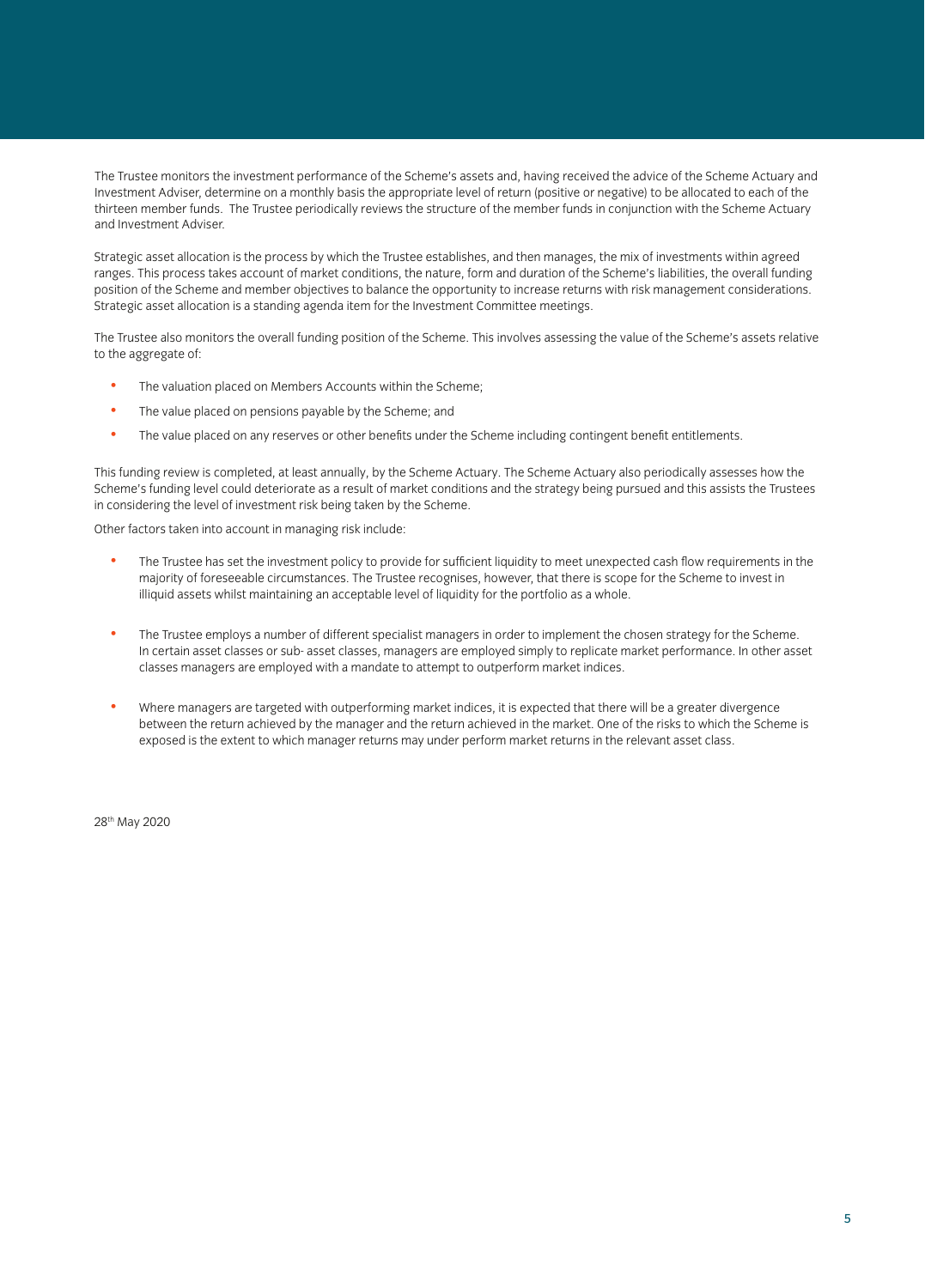The Trustee monitors the investment performance of the Scheme's assets and, having received the advice of the Scheme Actuary and Investment Adviser, determine on a monthly basis the appropriate level of return (positive or negative) to be allocated to each of the thirteen member funds. The Trustee periodically reviews the structure of the member funds in conjunction with the Scheme Actuary and Investment Adviser.

Strategic asset allocation is the process by which the Trustee establishes, and then manages, the mix of investments within agreed ranges. This process takes account of market conditions, the nature, form and duration of the Scheme's liabilities, the overall funding position of the Scheme and member objectives to balance the opportunity to increase returns with risk management considerations. Strategic asset allocation is a standing agenda item for the Investment Committee meetings.

The Trustee also monitors the overall funding position of the Scheme. This involves assessing the value of the Scheme's assets relative to the aggregate of:

- The valuation placed on Members Accounts within the Scheme;
- The value placed on pensions payable by the Scheme; and
- The value placed on any reserves or other benefits under the Scheme including contingent benefit entitlements.

This funding review is completed, at least annually, by the Scheme Actuary. The Scheme Actuary also periodically assesses how the Scheme's funding level could deteriorate as a result of market conditions and the strategy being pursued and this assists the Trustees in considering the level of investment risk being taken by the Scheme.

Other factors taken into account in managing risk include:

- The Trustee has set the investment policy to provide for sufficient liquidity to meet unexpected cash flow requirements in the majority of foreseeable circumstances. The Trustee recognises, however, that there is scope for the Scheme to invest in illiquid assets whilst maintaining an acceptable level of liquidity for the portfolio as a whole.
- The Trustee employs a number of different specialist managers in order to implement the chosen strategy for the Scheme. In certain asset classes or sub- asset classes, managers are employed simply to replicate market performance. In other asset classes managers are employed with a mandate to attempt to outperform market indices.
- Where managers are targeted with outperforming market indices, it is expected that there will be a greater divergence between the return achieved by the manager and the return achieved in the market. One of the risks to which the Scheme is exposed is the extent to which manager returns may under perform market returns in the relevant asset class.

28th May 2020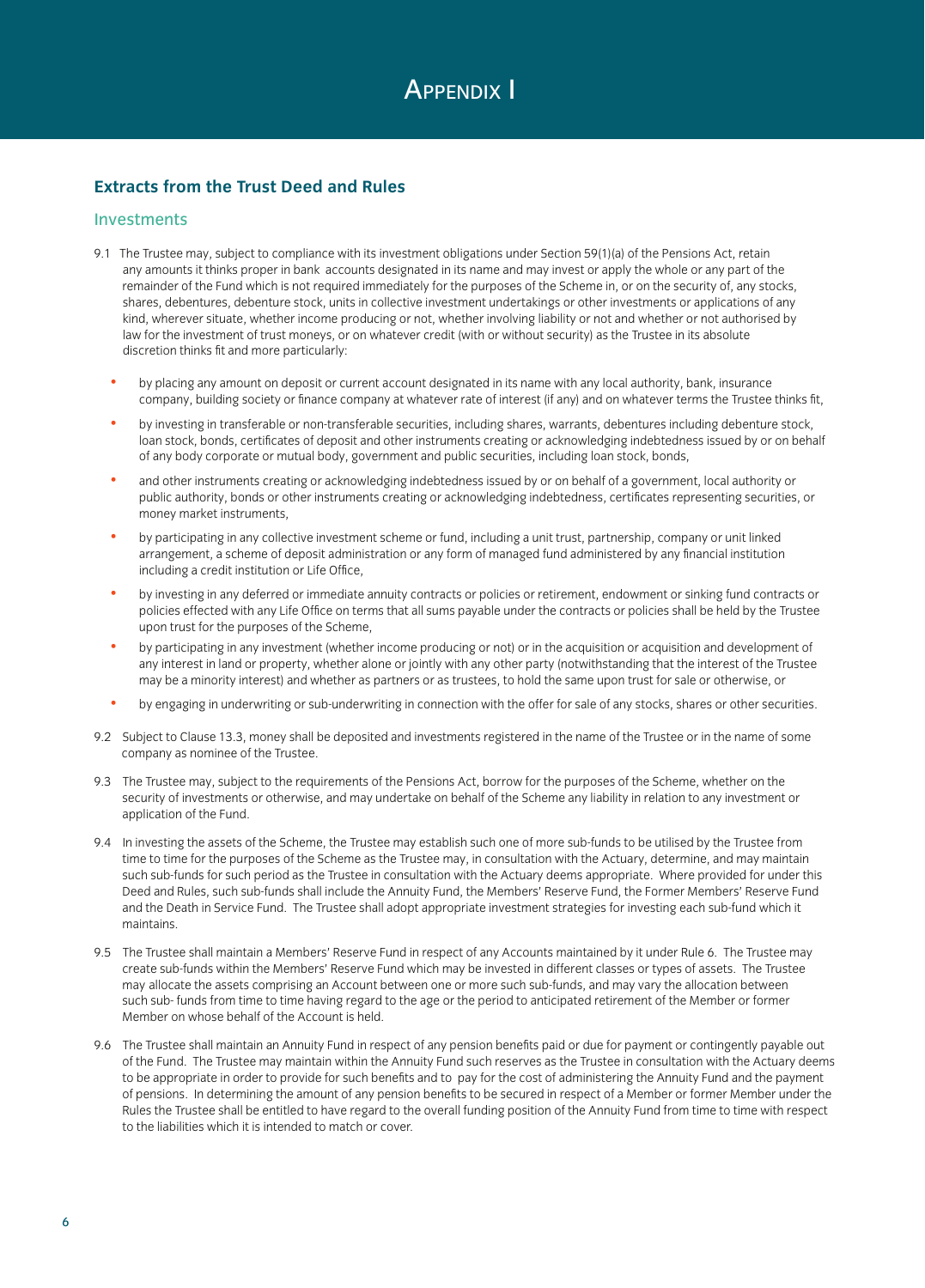# **Extracts from the Trust Deed and Rules**

### Investments

- 9.1 The Trustee may, subject to compliance with its investment obligations under Section 59(1)(a) of the Pensions Act, retain any amounts it thinks proper in bank accounts designated in its name and may invest or apply the whole or any part of the remainder of the Fund which is not required immediately for the purposes of the Scheme in, or on the security of, any stocks, shares, debentures, debenture stock, units in collective investment undertakings or other investments or applications of any kind, wherever situate, whether income producing or not, whether involving liability or not and whether or not authorised by law for the investment of trust moneys, or on whatever credit (with or without security) as the Trustee in its absolute discretion thinks fit and more particularly:
	- by placing any amount on deposit or current account designated in its name with any local authority, bank, insurance company, building society or finance company at whatever rate of interest (if any) and on whatever terms the Trustee thinks fit,
	- by investing in transferable or non-transferable securities, including shares, warrants, debentures including debenture stock, loan stock, bonds, certificates of deposit and other instruments creating or acknowledging indebtedness issued by or on behalf of any body corporate or mutual body, government and public securities, including loan stock, bonds,
	- and other instruments creating or acknowledging indebtedness issued by or on behalf of a government, local authority or public authority, bonds or other instruments creating or acknowledging indebtedness, certificates representing securities, or money market instruments,
	- by participating in any collective investment scheme or fund, including a unit trust, partnership, company or unit linked arrangement, a scheme of deposit administration or any form of managed fund administered by any financial institution including a credit institution or Life Office,
	- by investing in any deferred or immediate annuity contracts or policies or retirement, endowment or sinking fund contracts or policies effected with any Life Office on terms that all sums payable under the contracts or policies shall be held by the Trustee upon trust for the purposes of the Scheme,
	- by participating in any investment (whether income producing or not) or in the acquisition or acquisition and development of any interest in land or property, whether alone or jointly with any other party (notwithstanding that the interest of the Trustee may be a minority interest) and whether as partners or as trustees, to hold the same upon trust for sale or otherwise, or
	- by engaging in underwriting or sub-underwriting in connection with the offer for sale of any stocks, shares or other securities.
- 9.2 Subject to Clause 13.3, money shall be deposited and investments registered in the name of the Trustee or in the name of some company as nominee of the Trustee.
- 9.3 The Trustee may, subject to the requirements of the Pensions Act, borrow for the purposes of the Scheme, whether on the security of investments or otherwise, and may undertake on behalf of the Scheme any liability in relation to any investment or application of the Fund.
- 9.4 In investing the assets of the Scheme, the Trustee may establish such one of more sub-funds to be utilised by the Trustee from time to time for the purposes of the Scheme as the Trustee may, in consultation with the Actuary, determine, and may maintain such sub-funds for such period as the Trustee in consultation with the Actuary deems appropriate. Where provided for under this Deed and Rules, such sub-funds shall include the Annuity Fund, the Members' Reserve Fund, the Former Members' Reserve Fund and the Death in Service Fund. The Trustee shall adopt appropriate investment strategies for investing each sub-fund which it maintains.
- 9.5 The Trustee shall maintain a Members' Reserve Fund in respect of any Accounts maintained by it under Rule 6. The Trustee may create sub-funds within the Members' Reserve Fund which may be invested in different classes or types of assets. The Trustee may allocate the assets comprising an Account between one or more such sub-funds, and may vary the allocation between such sub- funds from time to time having regard to the age or the period to anticipated retirement of the Member or former Member on whose behalf of the Account is held.
- 9.6 The Trustee shall maintain an Annuity Fund in respect of any pension benefits paid or due for payment or contingently payable out of the Fund. The Trustee may maintain within the Annuity Fund such reserves as the Trustee in consultation with the Actuary deems to be appropriate in order to provide for such benefits and to pay for the cost of administering the Annuity Fund and the payment of pensions. In determining the amount of any pension benefits to be secured in respect of a Member or former Member under the Rules the Trustee shall be entitled to have regard to the overall funding position of the Annuity Fund from time to time with respect to the liabilities which it is intended to match or cover.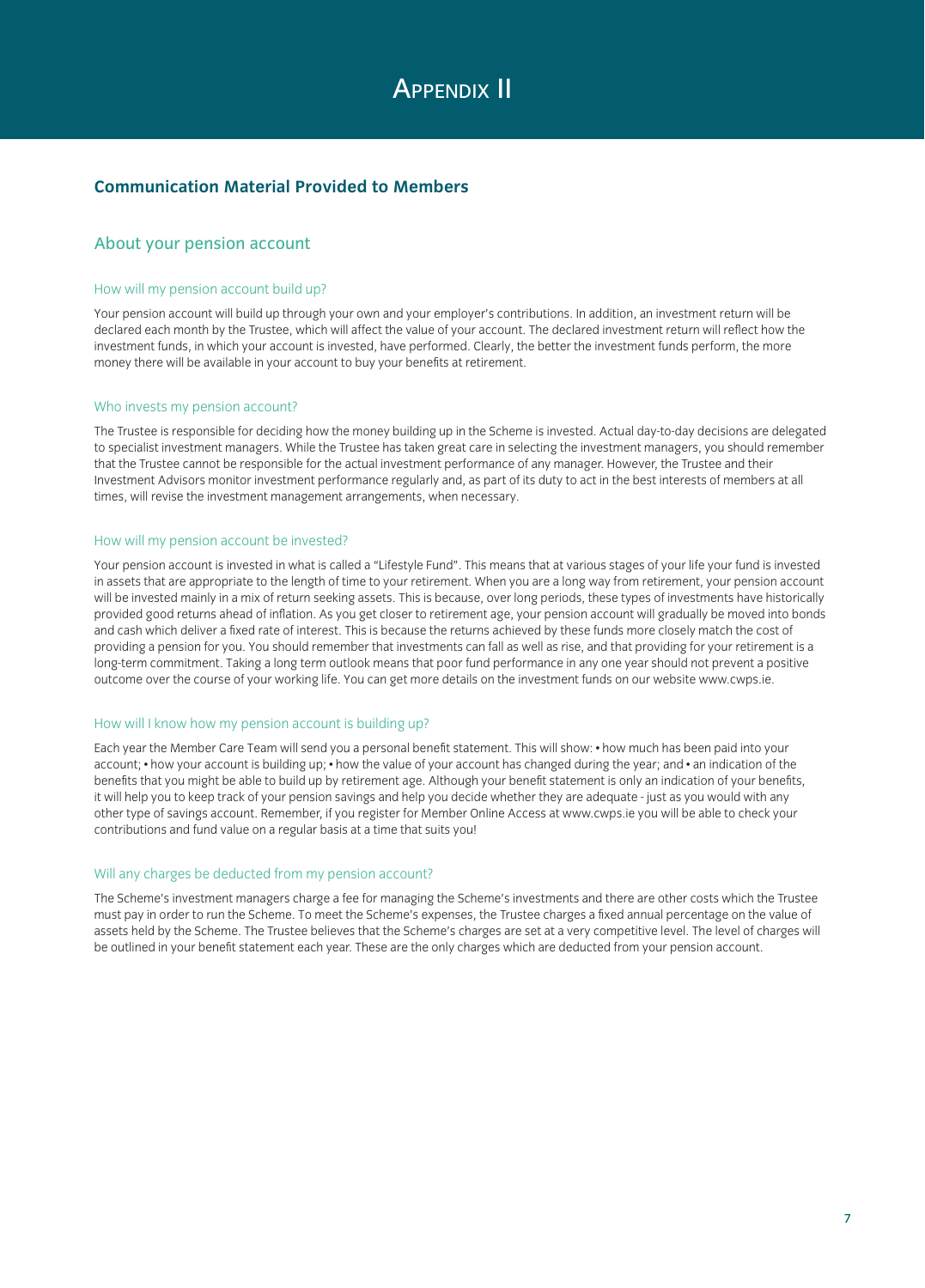# **APPENDIX II**

## **Communication Material Provided to Members**

#### About your pension account

#### How will my pension account build up?

Your pension account will build up through your own and your employer's contributions. In addition, an investment return will be declared each month by the Trustee, which will affect the value of your account. The declared investment return will reflect how the investment funds, in which your account is invested, have performed. Clearly, the better the investment funds perform, the more money there will be available in your account to buy your benefits at retirement.

#### Who invests my pension account?

The Trustee is responsible for deciding how the money building up in the Scheme is invested. Actual day-to-day decisions are delegated to specialist investment managers. While the Trustee has taken great care in selecting the investment managers, you should remember that the Trustee cannot be responsible for the actual investment performance of any manager. However, the Trustee and their Investment Advisors monitor investment performance regularly and, as part of its duty to act in the best interests of members at all times, will revise the investment management arrangements, when necessary.

#### How will my pension account be invested?

Your pension account is invested in what is called a "Lifestyle Fund". This means that at various stages of your life your fund is invested in assets that are appropriate to the length of time to your retirement. When you are a long way from retirement, your pension account will be invested mainly in a mix of return seeking assets. This is because, over long periods, these types of investments have historically provided good returns ahead of inflation. As you get closer to retirement age, your pension account will gradually be moved into bonds and cash which deliver a fixed rate of interest. This is because the returns achieved by these funds more closely match the cost of providing a pension for you. You should remember that investments can fall as well as rise, and that providing for your retirement is a long-term commitment. Taking a long term outlook means that poor fund performance in any one year should not prevent a positive outcome over the course of your working life. You can get more details on the investment funds on our website www.cwps.ie.

#### How will I know how my pension account is building up?

Each year the Member Care Team will send you a personal benefit statement. This will show: • how much has been paid into your account; • how your account is building up; • how the value of your account has changed during the year; and • an indication of the benefits that you might be able to build up by retirement age. Although your benefit statement is only an indication of your benefits, it will help you to keep track of your pension savings and help you decide whether they are adequate - just as you would with any other type of savings account. Remember, if you register for Member Online Access at www.cwps.ie you will be able to check your contributions and fund value on a regular basis at a time that suits you!

#### Will any charges be deducted from my pension account?

The Scheme's investment managers charge a fee for managing the Scheme's investments and there are other costs which the Trustee must pay in order to run the Scheme. To meet the Scheme's expenses, the Trustee charges a fixed annual percentage on the value of assets held by the Scheme. The Trustee believes that the Scheme's charges are set at a very competitive level. The level of charges will be outlined in your benefit statement each year. These are the only charges which are deducted from your pension account.